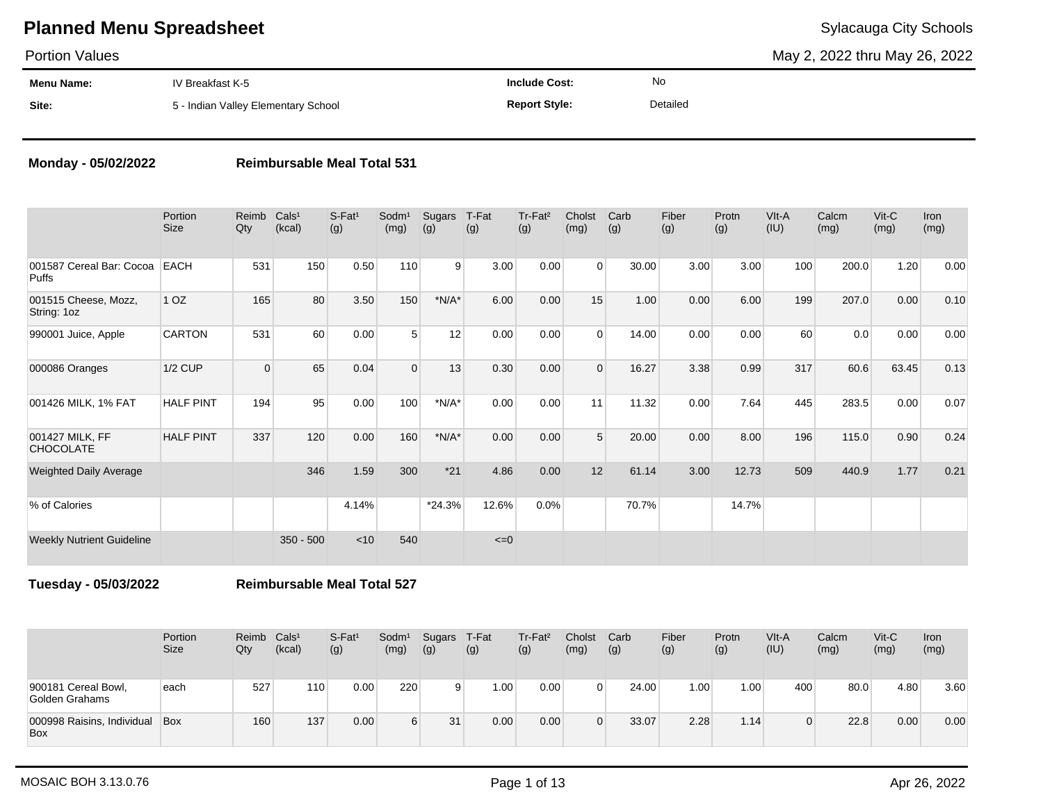Portion Values

May 2, 2022 thru May 26, 2022

| <b>Menu Name:</b> | IV Breakfast K-5                    | <b>Include Cost:</b> | No       |
|-------------------|-------------------------------------|----------------------|----------|
| Site:             | 5 - Indian Valley Elementary School | <b>Report Style:</b> | Detailed |

#### **Monday - 05/02/2022 Reimbursable Meal Total 531**

|                                          | Portion<br><b>Size</b> | Reimb<br>Qty | Cals <sup>1</sup><br>(kcal) | $S-Fat1$<br>(g) | Sodm <sup>1</sup><br>(mg) | Sugars<br>(g) | T-Fat<br>(g) | Tr-Fat <sup>2</sup><br>(g) | Cholst<br>(mg) | Carb<br>(g) | Fiber<br>(g) | Protn<br>(g) | VIt-A<br>(IU) | Calcm<br>(mg) | $V$ it-C<br>(mg) | <b>Iron</b><br>(mg) |
|------------------------------------------|------------------------|--------------|-----------------------------|-----------------|---------------------------|---------------|--------------|----------------------------|----------------|-------------|--------------|--------------|---------------|---------------|------------------|---------------------|
| 001587 Cereal Bar: Cocoa<br><b>Puffs</b> | <b>EACH</b>            | 531          | 150                         | 0.50            | 110                       | 9             | 3.00         | 0.00                       | $\Omega$       | 30.00       | 3.00         | 3.00         | 100           | 200.0         | 1.20             | 0.00                |
| 001515 Cheese, Mozz,<br>String: 1oz      | 1 <sub>OZ</sub>        | 165          | 80                          | 3.50            | 150                       | $*N/A*$       | 6.00         | 0.00                       | 15             | 1.00        | 0.00         | 6.00         | 199           | 207.0         | 0.00             | 0.10                |
| 990001 Juice, Apple                      | <b>CARTON</b>          | 531          | 60                          | 0.00            | 5                         | 12            | 0.00         | 0.00                       | $\Omega$       | 14.00       | 0.00         | 0.00         | 60            | 0.0           | 0.00             | 0.00                |
| 000086 Oranges                           | <b>1/2 CUP</b>         | $\mathbf 0$  | 65                          | 0.04            | $\Omega$                  | 13            | 0.30         | 0.00                       | $\Omega$       | 16.27       | 3.38         | 0.99         | 317           | 60.6          | 63.45            | 0.13                |
| 001426 MILK, 1% FAT                      | <b>HALF PINT</b>       | 194          | 95                          | 0.00            | 100                       | $*N/A*$       | 0.00         | 0.00                       | 11             | 11.32       | 0.00         | 7.64         | 445           | 283.5         | 0.00             | 0.07                |
| 001427 MILK, FF<br><b>CHOCOLATE</b>      | <b>HALF PINT</b>       | 337          | 120                         | 0.00            | 160                       | $*N/A*$       | 0.00         | 0.00                       | 5              | 20.00       | 0.00         | 8.00         | 196           | 115.0         | 0.90             | 0.24                |
| <b>Weighted Daily Average</b>            |                        |              | 346                         | 1.59            | 300                       | $*21$         | 4.86         | 0.00                       | 12             | 61.14       | 3.00         | 12.73        | 509           | 440.9         | 1.77             | 0.21                |
| % of Calories                            |                        |              |                             | 4.14%           |                           | $*24.3%$      | 12.6%        | 0.0%                       |                | 70.7%       |              | 14.7%        |               |               |                  |                     |
| <b>Weekly Nutrient Guideline</b>         |                        |              | $350 - 500$                 | $<$ 10          | 540                       |               | $\leq=0$     |                            |                |             |              |              |               |               |                  |                     |

**Tuesday - 05/03/2022 Reimbursable Meal Total 527**

|                                       | Portion<br><b>Size</b> | Reimb<br>Qty | Cals <sup>1</sup><br>(kcal) | S-Fat <sup>1</sup><br>(g) | Sodm <sup>1</sup><br>(mg) | Sugars<br>(g) | T-Fat<br>(g) | Tr-Fat <sup>2</sup><br>(g) | Cholst<br>(mg) | Carb<br>(g) | Fiber<br>(g) | Protn<br>(g) | VIt-A<br>(IU) | Calcm<br>(mg) | Vit-C<br>(mg) | Iron<br>(mg) |
|---------------------------------------|------------------------|--------------|-----------------------------|---------------------------|---------------------------|---------------|--------------|----------------------------|----------------|-------------|--------------|--------------|---------------|---------------|---------------|--------------|
| 900181 Cereal Bowl,<br>Golden Grahams | each                   | 527          | 110 <sub>1</sub>            | 0.00                      | 220                       | 9             | 1.00         | 0.00                       |                | 24.00       | 1.00         | 1.00         | 400           | 80.0          | 4.80          | 3.60         |
| 000998 Raisins, Individual<br>Box     | <b>Box</b>             | 160          | 137                         | 0.00                      | 6                         | 31            | 0.00         | 0.00                       |                | 33.07       | 2.28         | 1.14         |               | 22.8          | 0.00          | 0.00         |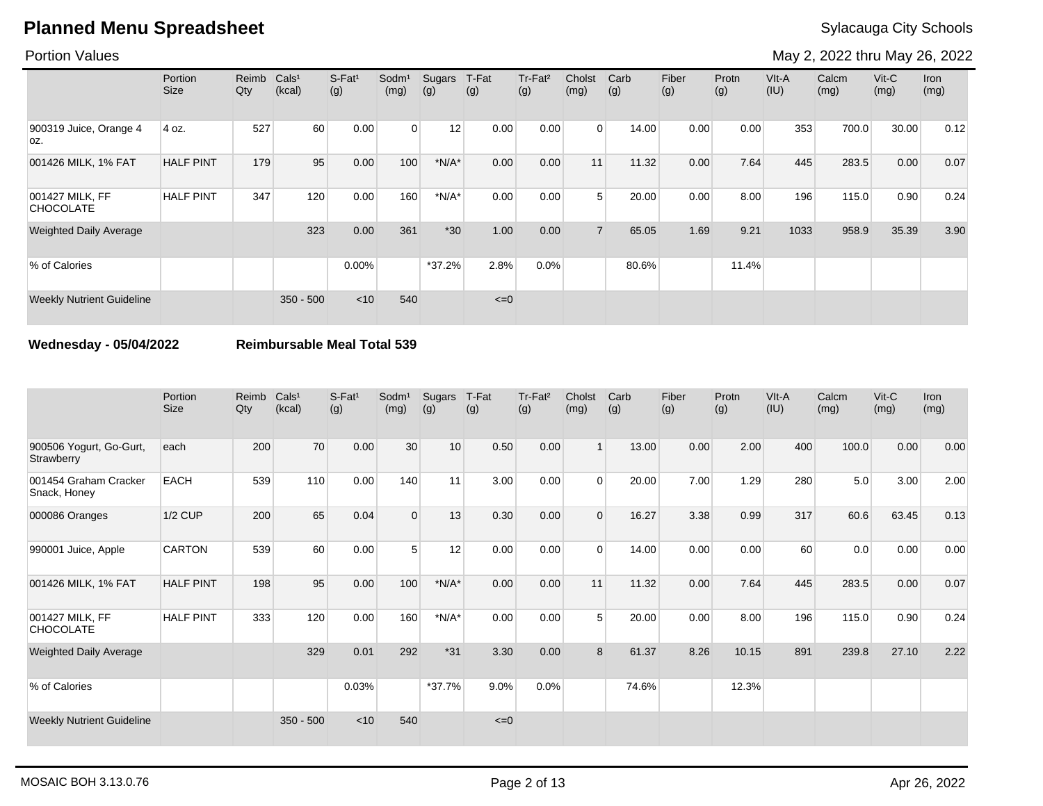#### Portion Values

May 2, 2022 thru May 26, 2022

|                                     | Portion<br>Size  | Reimb<br>Qty | Cals <sup>1</sup><br>(kcal) | $S-Fat1$<br>(g) | Sodm <sup>1</sup><br>(mg) | Sugars<br>(g) | T-Fat<br>(g) | Tr-Fat <sup>2</sup><br>(g) | Cholst<br>(mg) | Carb<br>(g) | Fiber<br>(g) | Protn<br>(g) | VIt-A<br>(IU) | Calcm<br>(mg) | $V$ it-C<br>(mg) | Iron<br>(mg) |
|-------------------------------------|------------------|--------------|-----------------------------|-----------------|---------------------------|---------------|--------------|----------------------------|----------------|-------------|--------------|--------------|---------------|---------------|------------------|--------------|
| 900319 Juice, Orange 4<br>OZ.       | 4 oz.            | 527          | 60                          | 0.00            | $\overline{0}$            | 12            | 0.00         | 0.00                       | $\Omega$       | 14.00       | 0.00         | 0.00         | 353           | 700.0         | 30.00            | 0.12         |
| 001426 MILK, 1% FAT                 | <b>HALF PINT</b> | 179          | 95                          | 0.00            | 100                       | $*N/A*$       | 0.00         | 0.00                       | 11             | 11.32       | 0.00         | 7.64         | 445           | 283.5         | 0.00             | 0.07         |
| 001427 MILK, FF<br><b>CHOCOLATE</b> | <b>HALF PINT</b> | 347          | 120                         | 0.00            | 160                       | $*N/A*$       | 0.00         | 0.00                       | $5^{\circ}$    | 20.00       | 0.00         | 8.00         | 196           | 115.0         | 0.90             | 0.24         |
| <b>Weighted Daily Average</b>       |                  |              | 323                         | 0.00            | 361                       | $*30$         | 1.00         | 0.00                       | $\overline{7}$ | 65.05       | 1.69         | 9.21         | 1033          | 958.9         | 35.39            | 3.90         |
| % of Calories                       |                  |              |                             | $0.00\%$        |                           | $*37.2%$      | 2.8%         | 0.0%                       |                | 80.6%       |              | 11.4%        |               |               |                  |              |
| <b>Weekly Nutrient Guideline</b>    |                  |              | $350 - 500$                 | $<$ 10          | 540                       |               | $\leq=0$     |                            |                |             |              |              |               |               |                  |              |

#### **Wednesday - 05/04/2022 Reimbursable Meal Total 539**

|                                       | Portion<br><b>Size</b> | Reimb<br>$Q$ ty | Cals <sup>1</sup><br>(kcal) | S-Fat <sup>1</sup><br>(g) | Sodm <sup>1</sup><br>(mg) | Sugars<br>(g) | T-Fat<br>(g) | Tr-Fat <sup>2</sup><br>(g) | Cholst<br>(mg) | Carb<br>(g) | Fiber<br>(g) | Protn<br>(g) | VIt-A<br>(IU) | Calcm<br>(mg) | $V$ it- $C$<br>(mg) | Iron<br>(mg) |
|---------------------------------------|------------------------|-----------------|-----------------------------|---------------------------|---------------------------|---------------|--------------|----------------------------|----------------|-------------|--------------|--------------|---------------|---------------|---------------------|--------------|
| 900506 Yogurt, Go-Gurt,<br>Strawberry | each                   | 200             | 70                          | 0.00                      | 30                        | 10            | 0.50         | 0.00                       | 1 <sup>1</sup> | 13.00       | 0.00         | 2.00         | 400           | 100.0         | 0.00                | 0.00         |
| 001454 Graham Cracker<br>Snack, Honey | <b>EACH</b>            | 539             | 110                         | 0.00                      | 140                       | 11            | 3.00         | 0.00                       | $\Omega$       | 20.00       | 7.00         | 1.29         | 280           | 5.0           | 3.00                | 2.00         |
| 000086 Oranges                        | $1/2$ CUP              | 200             | 65                          | 0.04                      | $\Omega$                  | 13            | 0.30         | 0.00                       | $\Omega$       | 16.27       | 3.38         | 0.99         | 317           | 60.6          | 63.45               | 0.13         |
| 990001 Juice, Apple                   | <b>CARTON</b>          | 539             | 60                          | 0.00                      | 5                         | 12            | 0.00         | 0.00                       | $\Omega$       | 14.00       | 0.00         | 0.00         | 60            | 0.0           | 0.00                | 0.00         |
| 001426 MILK, 1% FAT                   | <b>HALF PINT</b>       | 198             | 95                          | 0.00                      | 100                       | $*N/A*$       | 0.00         | 0.00                       | 11             | 11.32       | 0.00         | 7.64         | 445           | 283.5         | 0.00                | 0.07         |
| 001427 MILK, FF<br><b>CHOCOLATE</b>   | <b>HALF PINT</b>       | 333             | 120                         | 0.00                      | 160                       | $*N/A*$       | 0.00         | 0.00                       | 5              | 20.00       | 0.00         | 8.00         | 196           | 115.0         | 0.90                | 0.24         |
| <b>Weighted Daily Average</b>         |                        |                 | 329                         | 0.01                      | 292                       | $*31$         | 3.30         | 0.00                       | 8              | 61.37       | 8.26         | 10.15        | 891           | 239.8         | 27.10               | 2.22         |
| % of Calories                         |                        |                 |                             | 0.03%                     |                           | $*37.7%$      | 9.0%         | $0.0\%$                    |                | 74.6%       |              | 12.3%        |               |               |                     |              |
| <b>Weekly Nutrient Guideline</b>      |                        |                 | $350 - 500$                 | $<$ 10                    | 540                       |               | $\leq=0$     |                            |                |             |              |              |               |               |                     |              |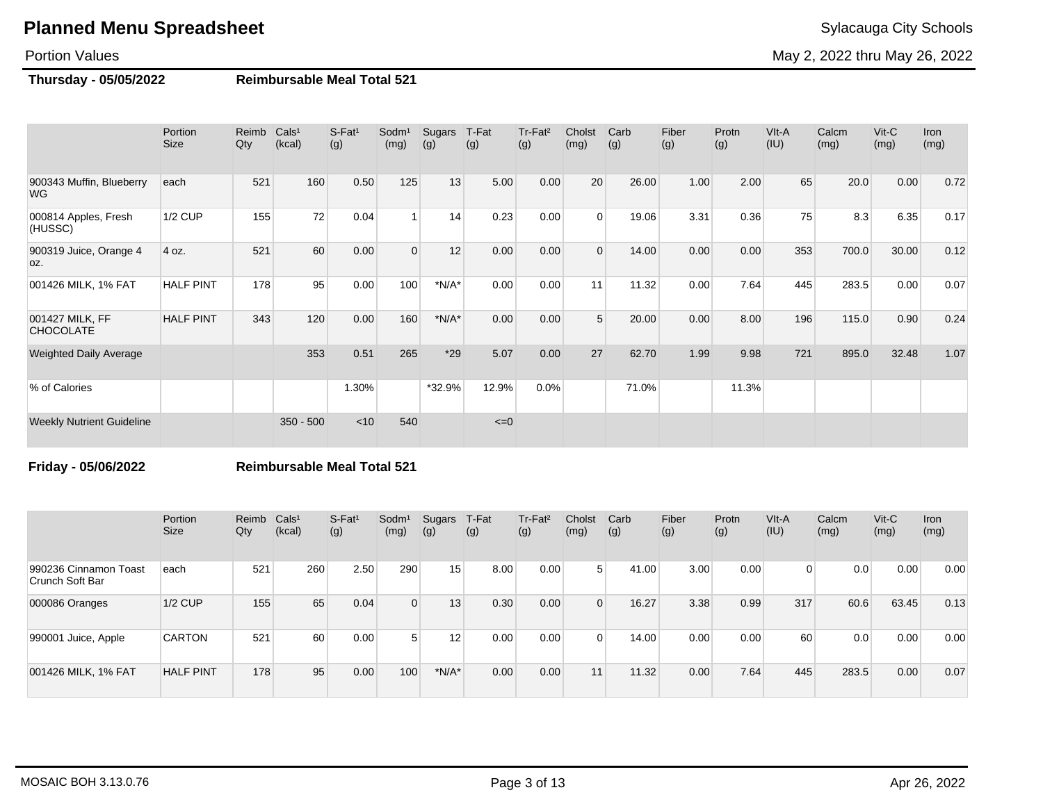#### Portion Values

May 2, 2022 thru May 26, 2022

#### **Thursday - 05/05/2022 Reimbursable Meal Total 521**

|                                       | Portion<br><b>Size</b> | Reimb<br>Qty | Cals <sup>1</sup><br>(kcal) | $S-Fat1$<br>(g) | Sodm <sup>1</sup><br>(mg) | Sugars<br>(g) | T-Fat<br>(g) | Tr-Fat <sup>2</sup><br>(g) | Cholst<br>(mg) | Carb<br>(g) | Fiber<br>(g) | Protn<br>(g) | VIt-A<br>(IU) | Calcm<br>(mg) | $V$ it- $C$<br>(mg) | <b>Iron</b><br>(mg) |
|---------------------------------------|------------------------|--------------|-----------------------------|-----------------|---------------------------|---------------|--------------|----------------------------|----------------|-------------|--------------|--------------|---------------|---------------|---------------------|---------------------|
| 900343 Muffin, Blueberry<br><b>WG</b> | each                   | 521          | 160                         | 0.50            | 125                       | 13            | 5.00         | 0.00                       | 20             | 26.00       | 1.00         | 2.00         | 65            | 20.0          | 0.00                | 0.72                |
| 000814 Apples, Fresh<br>(HUSSC)       | $1/2$ CUP              | 155          | 72                          | 0.04            | $\overline{\mathbf{1}}$   | 14            | 0.23         | 0.00                       | $\Omega$       | 19.06       | 3.31         | 0.36         | 75            | 8.3           | 6.35                | 0.17                |
| 900319 Juice, Orange 4<br>OZ.         | 4 oz.                  | 521          | 60                          | 0.00            | $\Omega$                  | 12            | 0.00         | 0.00                       | $\Omega$       | 14.00       | 0.00         | 0.00         | 353           | 700.0         | 30.00               | 0.12                |
| 001426 MILK, 1% FAT                   | <b>HALF PINT</b>       | 178          | 95                          | 0.00            | 100                       | $*N/A*$       | 0.00         | 0.00                       | 11             | 11.32       | 0.00         | 7.64         | 445           | 283.5         | 0.00                | 0.07                |
| 001427 MILK, FF<br><b>CHOCOLATE</b>   | <b>HALF PINT</b>       | 343          | 120                         | 0.00            | 160                       | $*N/A*$       | 0.00         | 0.00                       | 5              | 20.00       | 0.00         | 8.00         | 196           | 115.0         | 0.90                | 0.24                |
| <b>Weighted Daily Average</b>         |                        |              | 353                         | 0.51            | 265                       | $*29$         | 5.07         | 0.00                       | 27             | 62.70       | 1.99         | 9.98         | 721           | 895.0         | 32.48               | 1.07                |
| % of Calories                         |                        |              |                             | 1.30%           |                           | *32.9%        | 12.9%        | 0.0%                       |                | 71.0%       |              | 11.3%        |               |               |                     |                     |
| <b>Weekly Nutrient Guideline</b>      |                        |              | $350 - 500$                 | < 10            | 540                       |               | $\leq=0$     |                            |                |             |              |              |               |               |                     |                     |

**Friday - 05/06/2022 Reimbursable Meal Total 521**

|                                          | Portion<br><b>Size</b> | Reimb Cals <sup>1</sup><br>Qty | (kcal) | $S-Fat1$<br>(g) | Sodm <sup>1</sup><br>(mg) | Sugars<br>(g) | T-Fat<br>(g) | Tr-Fat <sup>2</sup><br>(g) | Cholst<br>(mg) | Carb<br>(g) | Fiber<br>(g) | Protn<br>(g) | $V$ lt-A<br>(IU) | Calcm<br>(mg) | $V$ it-C<br>(mg) | <b>Iron</b><br>(mg) |
|------------------------------------------|------------------------|--------------------------------|--------|-----------------|---------------------------|---------------|--------------|----------------------------|----------------|-------------|--------------|--------------|------------------|---------------|------------------|---------------------|
| 990236 Cinnamon Toast<br>Crunch Soft Bar | each                   | 521                            | 260    | 2.50            | 290                       | 15            | 8.00         | 0.00                       | $5^{\circ}$    | 41.00       | 3.00         | 0.00         | 0                | 0.0           | 0.00             | 0.00                |
| 000086 Oranges                           | $1/2$ CUP              | 155                            | 65     | 0.04            | $\Omega$                  | 13            | 0.30         | 0.00                       |                | 16.27       | 3.38         | 0.99         | 317              | 60.6          | 63.45            | 0.13                |
| 990001 Juice, Apple                      | <b>CARTON</b>          | 521                            | 60     | 0.00            | 5 <sup>1</sup>            | 12            | 0.00         | 0.00                       |                | 14.00       | 0.00         | 0.00         | 60               | 0.0           | 0.00             | 0.00                |
| 001426 MILK, 1% FAT                      | <b>HALF PINT</b>       | 178                            | 95     | 0.00            | 100                       | $*N/A*$       | 0.00         | 0.00                       | 11             | 11.32       | 0.00         | 7.64         | 445              | 283.5         | 0.00             | 0.07                |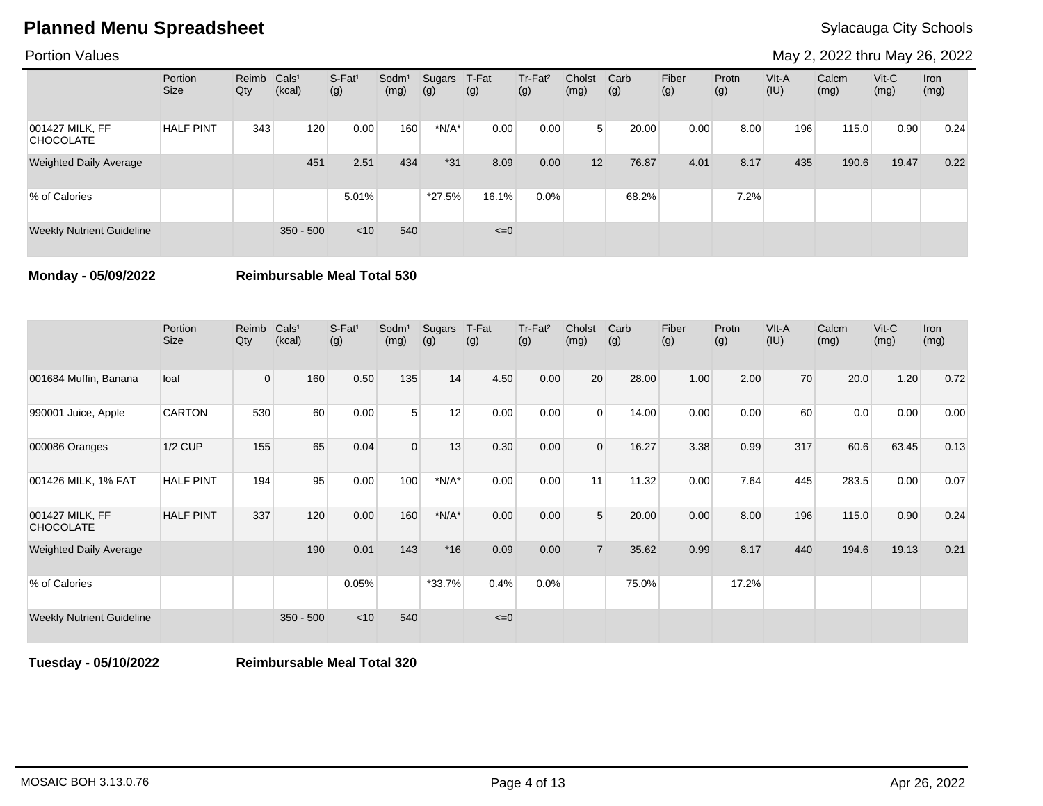Portion Values

May 2, 2022 thru May 26, 2022

|                                     | Portion<br>Size  | Reimb Cals <sup>1</sup><br>Qty | (kcal)      | S-Fat <sup>1</sup><br>(g) | Sodm <sup>1</sup><br>(mg) | Sugars<br>(g) | T-Fat<br>(g) | Tr-Fat <sup>2</sup><br>(g) | Cholst<br>(mg) | Carb<br>(g) | Fiber<br>(g) | Protn<br>(g) | VIt-A<br>(IU) | Calcm<br>(mg) | $V$ it-C<br>(mg) | Iron<br>(mg) |
|-------------------------------------|------------------|--------------------------------|-------------|---------------------------|---------------------------|---------------|--------------|----------------------------|----------------|-------------|--------------|--------------|---------------|---------------|------------------|--------------|
| 001427 MILK, FF<br><b>CHOCOLATE</b> | <b>HALF PINT</b> | 343                            | 120         | 0.00                      | 160                       | $*N/A*$       | 0.00         | 0.00                       | 5 <sup>1</sup> | 20.00       | 0.00         | 8.00         | 196           | 115.0         | 0.90             | 0.24         |
| <b>Weighted Daily Average</b>       |                  |                                | 451         | 2.51                      | 434                       | $*31$         | 8.09         | 0.00                       | 12             | 76.87       | 4.01         | 8.17         | 435           | 190.6         | 19.47            | 0.22         |
| % of Calories                       |                  |                                |             | 5.01%                     |                           | $*27.5%$      | 16.1%        | $0.0\%$                    |                | 68.2%       |              | 7.2%         |               |               |                  |              |
| <b>Weekly Nutrient Guideline</b>    |                  |                                | $350 - 500$ | < 10                      | 540                       |               | $\leq=0$     |                            |                |             |              |              |               |               |                  |              |

**Monday - 05/09/2022 Reimbursable Meal Total 530**

|                                     | Portion<br><b>Size</b> | Reimb<br>Qty   | Cals <sup>1</sup><br>(kcal) | S-Fat <sup>1</sup><br>(g) | Sodm <sup>1</sup><br>(mg) | Sugars<br>(g) | T-Fat<br>(g) | Tr-Fat <sup>2</sup><br>(g) | Cholst<br>(mg) | Carb<br>(g) | Fiber<br>(g) | Protn<br>(g) | VIt-A<br>(IU) | Calcm<br>(mg) | $V$ it-C<br>(mg) | <b>Iron</b><br>(mg) |
|-------------------------------------|------------------------|----------------|-----------------------------|---------------------------|---------------------------|---------------|--------------|----------------------------|----------------|-------------|--------------|--------------|---------------|---------------|------------------|---------------------|
| 001684 Muffin, Banana               | loaf                   | $\overline{0}$ | 160                         | 0.50                      | 135                       | 14            | 4.50         | 0.00                       | 20             | 28.00       | 1.00         | 2.00         | 70            | 20.0          | 1.20             | 0.72                |
| 990001 Juice, Apple                 | <b>CARTON</b>          | 530            | 60                          | 0.00                      | 5                         | 12            | 0.00         | 0.00                       | $\Omega$       | 14.00       | 0.00         | 0.00         | 60            | 0.0           | 0.00             | 0.00                |
| 000086 Oranges                      | $1/2$ CUP              | 155            | 65                          | 0.04                      | $\Omega$                  | 13            | 0.30         | 0.00                       | $\Omega$       | 16.27       | 3.38         | 0.99         | 317           | 60.6          | 63.45            | 0.13                |
| 001426 MILK, 1% FAT                 | <b>HALF PINT</b>       | 194            | 95                          | 0.00                      | 100                       | $*N/A*$       | 0.00         | 0.00                       | 11             | 11.32       | 0.00         | 7.64         | 445           | 283.5         | 0.00             | 0.07                |
| 001427 MILK, FF<br><b>CHOCOLATE</b> | <b>HALF PINT</b>       | 337            | 120                         | 0.00                      | 160                       | $*N/A*$       | 0.00         | 0.00                       | 5              | 20.00       | 0.00         | 8.00         | 196           | 115.0         | 0.90             | 0.24                |
| <b>Weighted Daily Average</b>       |                        |                | 190                         | 0.01                      | 143                       | $*16$         | 0.09         | 0.00                       | $\overline{7}$ | 35.62       | 0.99         | 8.17         | 440           | 194.6         | 19.13            | 0.21                |
| % of Calories                       |                        |                |                             | 0.05%                     |                           | $*33.7%$      | 0.4%         | $0.0\%$                    |                | 75.0%       |              | 17.2%        |               |               |                  |                     |
| <b>Weekly Nutrient Guideline</b>    |                        |                | $350 - 500$                 | $<$ 10                    | 540                       |               | $\leq=0$     |                            |                |             |              |              |               |               |                  |                     |

**Tuesday - 05/10/2022 Reimbursable Meal Total 320**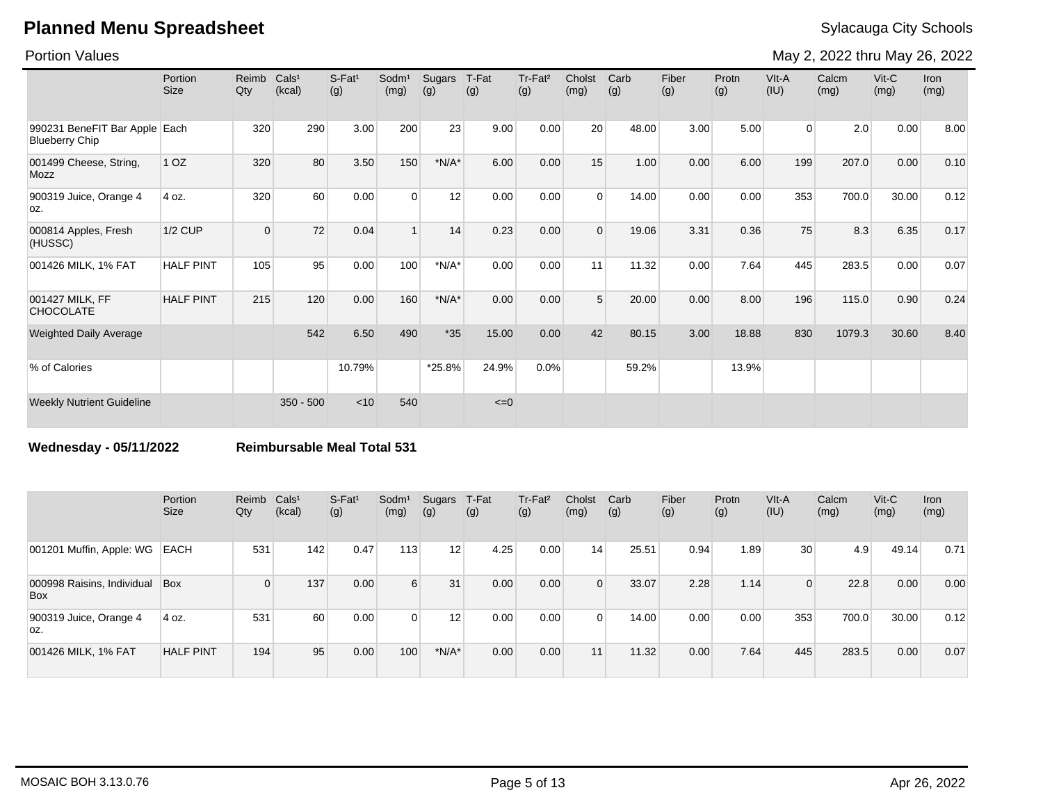Portion Values

May 2, 2022 thru May 26, 2022

|                                                        | Portion<br><b>Size</b> | Reimb<br>Qty   | Cals <sup>1</sup><br>(kcal) | $S$ -Fat <sup>1</sup><br>(g) | Sodm <sup>1</sup><br>(mg) | <b>Sugars</b><br>(g) | T-Fat<br>(g) | Tr-Fat <sup>2</sup><br>(g) | Cholst<br>(mg) | Carb<br>(g) | Fiber<br>(g) | Protn<br>(g) | VIt-A<br>(IU)  | Calcm<br>(mg) | $V$ it-C<br>(mg) | Iron<br>(mg) |
|--------------------------------------------------------|------------------------|----------------|-----------------------------|------------------------------|---------------------------|----------------------|--------------|----------------------------|----------------|-------------|--------------|--------------|----------------|---------------|------------------|--------------|
| 990231 BeneFIT Bar Apple Each<br><b>Blueberry Chip</b> |                        | 320            | 290                         | 3.00                         | 200                       | 23                   | 9.00         | 0.00                       | 20             | 48.00       | 3.00         | 5.00         | $\overline{0}$ | 2.0           | 0.00             | 8.00         |
| 001499 Cheese, String,<br>Mozz                         | 1 <sub>OZ</sub>        | 320            | 80                          | 3.50                         | 150                       | $*N/A*$              | 6.00         | 0.00                       | 15             | 1.00        | 0.00         | 6.00         | 199            | 207.0         | 0.00             | 0.10         |
| 900319 Juice, Orange 4<br>OZ.                          | 4 oz.                  | 320            | 60                          | 0.00                         | $\Omega$                  | 12                   | 0.00         | 0.00                       | $\Omega$       | 14.00       | 0.00         | 0.00         | 353            | 700.0         | 30.00            | 0.12         |
| 000814 Apples, Fresh<br>(HUSSC)                        | <b>1/2 CUP</b>         | $\overline{0}$ | 72                          | 0.04                         | $\mathbf{1}$              | 14                   | 0.23         | 0.00                       | $\Omega$       | 19.06       | 3.31         | 0.36         | 75             | 8.3           | 6.35             | 0.17         |
| 001426 MILK, 1% FAT                                    | <b>HALF PINT</b>       | 105            | 95                          | 0.00                         | 100                       | $*N/A*$              | 0.00         | 0.00                       | 11             | 11.32       | 0.00         | 7.64         | 445            | 283.5         | 0.00             | 0.07         |
| 001427 MILK, FF<br><b>CHOCOLATE</b>                    | <b>HALF PINT</b>       | 215            | 120                         | 0.00                         | 160                       | $*N/A*$              | 0.00         | 0.00                       | 5              | 20.00       | 0.00         | 8.00         | 196            | 115.0         | 0.90             | 0.24         |
| <b>Weighted Daily Average</b>                          |                        |                | 542                         | 6.50                         | 490                       | $*35$                | 15.00        | 0.00                       | 42             | 80.15       | 3.00         | 18.88        | 830            | 1079.3        | 30.60            | 8.40         |
| % of Calories                                          |                        |                |                             | 10.79%                       |                           | *25.8%               | 24.9%        | 0.0%                       |                | 59.2%       |              | 13.9%        |                |               |                  |              |
| <b>Weekly Nutrient Guideline</b>                       |                        |                | $350 - 500$                 | < 10                         | 540                       |                      | $\leq=0$     |                            |                |             |              |              |                |               |                  |              |

**Wednesday - 05/11/2022 Reimbursable Meal Total 531**

|                                          | Portion<br>Size  | Reimb Cals <sup>1</sup><br>Qty | (kcal) | $S-Fat1$<br>(g) | Sodm <sup>1</sup><br>(mg) | Sugars<br>(g) | T-Fat<br>(g) | Tr-Fat <sup>2</sup><br>(g) | Cholst<br>(mg) | Carb<br>(g) | Fiber<br>(g) | Protn<br>(g) | $V$ lt-A<br>(IU) | Calcm<br>(mg) | $V$ it-C<br>(mg) | <b>Iron</b><br>(mg) |
|------------------------------------------|------------------|--------------------------------|--------|-----------------|---------------------------|---------------|--------------|----------------------------|----------------|-------------|--------------|--------------|------------------|---------------|------------------|---------------------|
| 001201 Muffin, Apple: WG                 | <b>EACH</b>      | 531                            | 142    | 0.47            | 113                       | 12            | 4.25         | 0.00                       | 14             | 25.51       | 0.94         | 1.89         | 30               | 4.9           | 49.14            | 0.71                |
| 000998 Raisins, Individual<br><b>Box</b> | Box              | 0                              | 137    | 0.00            | $6 \mid$                  | 31            | 0.00         | 0.00                       | $\Omega$       | 33.07       | 2.28         | 1.14         | $\Omega$         | 22.8          | 0.00             | 0.00                |
| 900319 Juice, Orange 4<br>loz.           | 4 oz.            | 531                            | 60     | 0.00            | $\overline{0}$            | 12            | 0.00         | 0.00                       |                | 14.00       | 0.00         | 0.00         | 353              | 700.0         | 30.00            | 0.12                |
| 001426 MILK, 1% FAT                      | <b>HALF PINT</b> | 194                            | 95     | 0.00            | 100                       | $*N/A*$       | 0.00         | 0.00                       | 11             | 11.32       | 0.00         | 7.64         | 445              | 283.5         | 0.00             | 0.07                |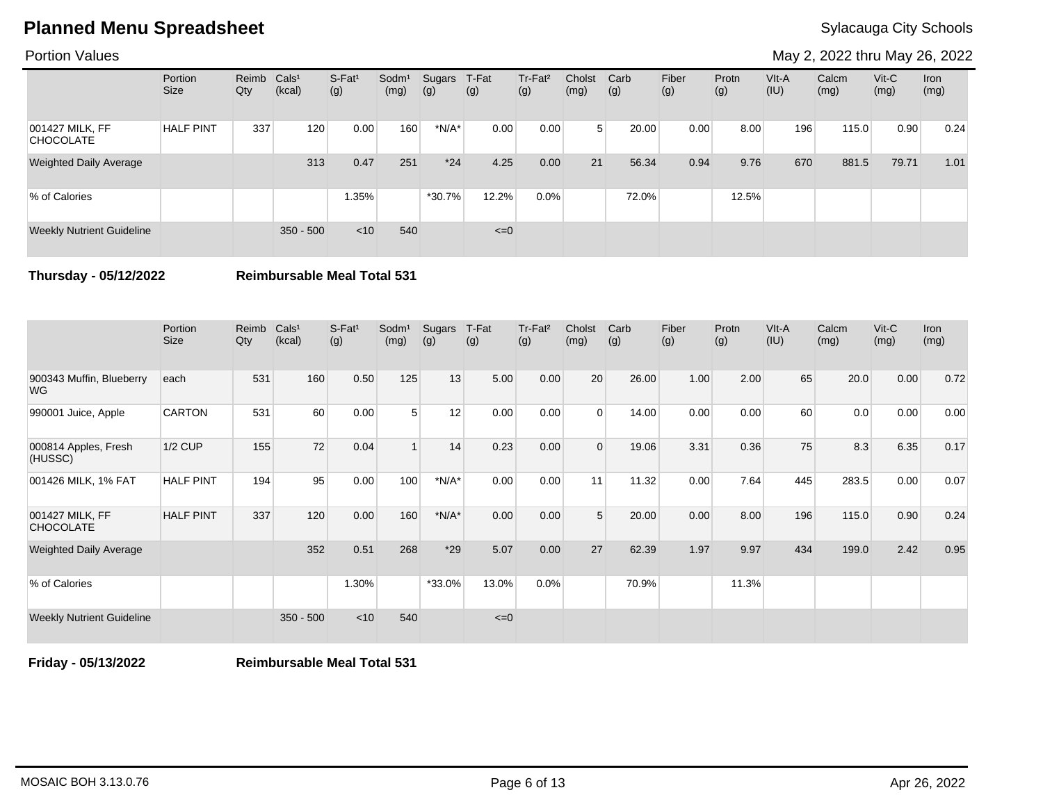Portion Values

May 2, 2022 thru May 26, 2022

|                                     | Portion<br><b>Size</b> | Reimb Cals <sup>1</sup><br>Qty | (kcal)      | $S-Fat1$<br>(g) | Sodm <sup>1</sup><br>(mg) | Sugars<br>(g) | T-Fat<br>(g) | Tr-Fat <sup>2</sup><br>(g) | Cholst<br>(mg) | Carb<br>(g) | Fiber<br>(g) | Protn<br>(g) | $V$ lt-A<br>(IU) | Calcm<br>(mg) | $V$ it-C<br>(mg) | Iron<br>(mg) |
|-------------------------------------|------------------------|--------------------------------|-------------|-----------------|---------------------------|---------------|--------------|----------------------------|----------------|-------------|--------------|--------------|------------------|---------------|------------------|--------------|
| 001427 MILK, FF<br><b>CHOCOLATE</b> | <b>HALF PINT</b>       | 337                            | 120         | 0.00            | 160                       | $*N/A*$       | 0.00         | 0.00                       | 5 <sup>1</sup> | 20.00       | 0.00         | 8.00         | 196              | 115.0         | 0.90             | 0.24         |
| <b>Weighted Daily Average</b>       |                        |                                | 313         | 0.47            | 251                       | $*24$         | 4.25         | 0.00                       | 21             | 56.34       | 0.94         | 9.76         | 670              | 881.5         | 79.71            | 1.01         |
| % of Calories                       |                        |                                |             | 1.35%           |                           | $*30.7%$      | 12.2%        | $0.0\%$                    |                | 72.0%       |              | 12.5%        |                  |               |                  |              |
| <b>Weekly Nutrient Guideline</b>    |                        |                                | $350 - 500$ | < 10            | 540                       |               | $\leq=0$     |                            |                |             |              |              |                  |               |                  |              |

**Thursday - 05/12/2022 Reimbursable Meal Total 531**

|                                     | Portion<br><b>Size</b> | Reimb<br>Qty | Cals <sup>1</sup><br>(kcal) | $S-Fat1$<br>(g) | Sodm <sup>1</sup><br>(mg) | Sugars<br>(g) | T-Fat<br>(g) | Tr-Fat <sup>2</sup><br>(g) | Cholst<br>(mg) | Carb<br>(g) | Fiber<br>(g) | Protn<br>(g) | VIt-A<br>(IU) | Calcm<br>(mg) | $V$ it-C<br>(mg) | <b>Iron</b><br>(mg) |
|-------------------------------------|------------------------|--------------|-----------------------------|-----------------|---------------------------|---------------|--------------|----------------------------|----------------|-------------|--------------|--------------|---------------|---------------|------------------|---------------------|
| 900343 Muffin, Blueberry<br>WG.     | each                   | 531          | 160                         | 0.50            | 125                       | 13            | 5.00         | 0.00                       | 20             | 26.00       | 1.00         | 2.00         | 65            | 20.0          | 0.00             | 0.72                |
| 990001 Juice, Apple                 | <b>CARTON</b>          | 531          | 60                          | 0.00            | 5 <sup>1</sup>            | 12            | 0.00         | 0.00                       | $\Omega$       | 14.00       | 0.00         | 0.00         | 60            | 0.0           | 0.00             | 0.00                |
| 000814 Apples, Fresh<br>(HUSSC)     | $1/2$ CUP              | 155          | 72                          | 0.04            |                           | 14            | 0.23         | 0.00                       | $\Omega$       | 19.06       | 3.31         | 0.36         | 75            | 8.3           | 6.35             | 0.17                |
| 001426 MILK, 1% FAT                 | <b>HALF PINT</b>       | 194          | 95                          | 0.00            | 100                       | $*N/A*$       | 0.00         | 0.00                       | 11             | 11.32       | 0.00         | 7.64         | 445           | 283.5         | 0.00             | 0.07                |
| 001427 MILK, FF<br><b>CHOCOLATE</b> | <b>HALF PINT</b>       | 337          | 120                         | 0.00            | 160                       | $*N/A*$       | 0.00         | 0.00                       | 5              | 20.00       | 0.00         | 8.00         | 196           | 115.0         | 0.90             | 0.24                |
| <b>Weighted Daily Average</b>       |                        |              | 352                         | 0.51            | 268                       | $*29$         | 5.07         | 0.00                       | 27             | 62.39       | 1.97         | 9.97         | 434           | 199.0         | 2.42             | 0.95                |
| % of Calories                       |                        |              |                             | 1.30%           |                           | *33.0%        | 13.0%        | 0.0%                       |                | 70.9%       |              | 11.3%        |               |               |                  |                     |
| <b>Weekly Nutrient Guideline</b>    |                        |              | $350 - 500$                 | < 10            | 540                       |               | $\leq=0$     |                            |                |             |              |              |               |               |                  |                     |

**Friday - 05/13/2022 Reimbursable Meal Total 531**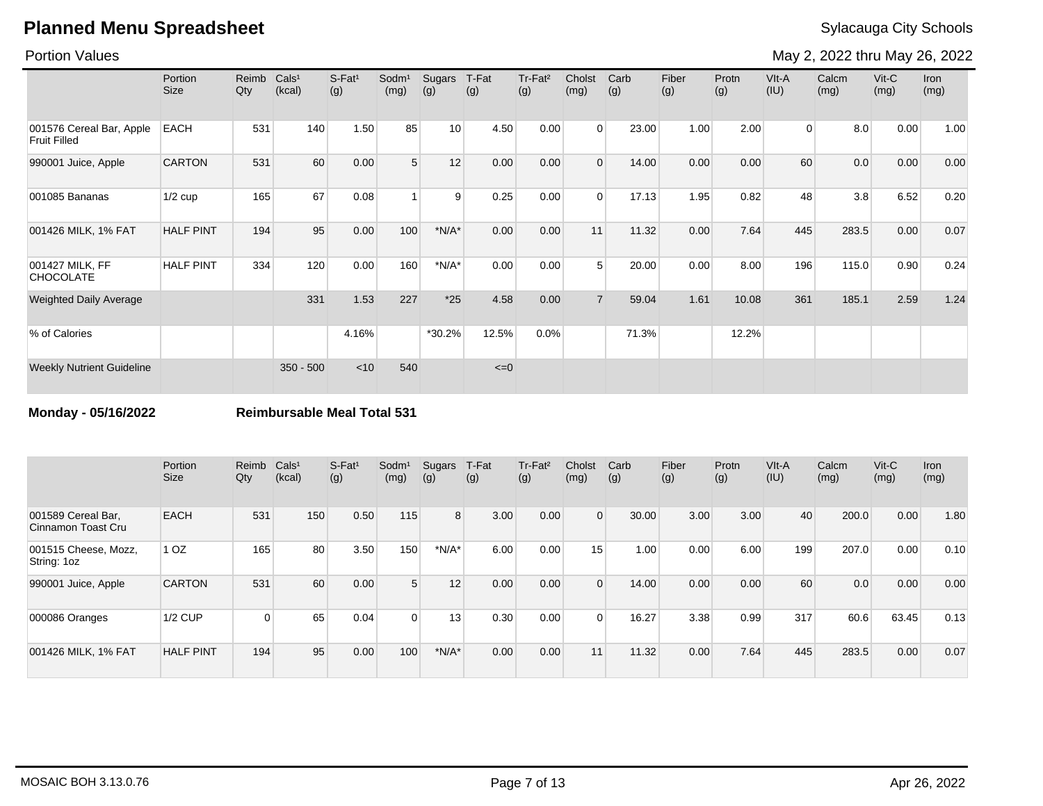Portion Values

May 2, 2022 thru May 26, 2022

|                                                 | Portion<br><b>Size</b> | Reimb<br>Qty | Cals <sup>1</sup><br>(kcal) | S-Fat <sup>1</sup><br>(g) | Sodm <sup>1</sup><br>(mg) | Sugars<br>(g) | T-Fat<br>(g) | Tr-Fat <sup>2</sup><br>(g) | Cholst<br>(mg) | Carb<br>(g) | Fiber<br>(g) | Protn<br>(g) | VIt-A<br>(IU)  | Calcm<br>(mg) | $V$ it-C<br>(mg) | Iron<br>(mg) |
|-------------------------------------------------|------------------------|--------------|-----------------------------|---------------------------|---------------------------|---------------|--------------|----------------------------|----------------|-------------|--------------|--------------|----------------|---------------|------------------|--------------|
| 001576 Cereal Bar, Apple<br><b>Fruit Filled</b> | <b>EACH</b>            | 531          | 140                         | 1.50                      | 85                        | 10            | 4.50         | 0.00                       | $\Omega$       | 23.00       | 1.00         | 2.00         | $\overline{0}$ | 8.0           | 0.00             | 1.00         |
| 990001 Juice, Apple                             | <b>CARTON</b>          | 531          | 60                          | 0.00                      | 5                         | 12            | 0.00         | 0.00                       | $\mathbf 0$    | 14.00       | 0.00         | 0.00         | 60             | 0.0           | 0.00             | 0.00         |
| 001085 Bananas                                  | $1/2$ cup              | 165          | 67                          | 0.08                      | $\overline{1}$            | 9             | 0.25         | 0.00                       | $\Omega$       | 17.13       | 1.95         | 0.82         | 48             | 3.8           | 6.52             | 0.20         |
| 001426 MILK, 1% FAT                             | <b>HALF PINT</b>       | 194          | 95                          | 0.00                      | 100                       | $*N/A*$       | 0.00         | 0.00                       | 11             | 11.32       | 0.00         | 7.64         | 445            | 283.5         | 0.00             | 0.07         |
| 001427 MILK, FF<br><b>CHOCOLATE</b>             | <b>HALF PINT</b>       | 334          | 120                         | 0.00                      | 160                       | $*N/A*$       | 0.00         | 0.00                       | 5              | 20.00       | 0.00         | 8.00         | 196            | 115.0         | 0.90             | 0.24         |
| <b>Weighted Daily Average</b>                   |                        |              | 331                         | 1.53                      | 227                       | $*25$         | 4.58         | 0.00                       | $\overline{7}$ | 59.04       | 1.61         | 10.08        | 361            | 185.1         | 2.59             | 1.24         |
| % of Calories                                   |                        |              |                             | 4.16%                     |                           | *30.2%        | 12.5%        | 0.0%                       |                | 71.3%       |              | 12.2%        |                |               |                  |              |
| <b>Weekly Nutrient Guideline</b>                |                        |              | $350 - 500$                 | < 10                      | 540                       |               | $\leq=0$     |                            |                |             |              |              |                |               |                  |              |

**Monday - 05/16/2022 Reimbursable Meal Total 531**

|                                          | Portion<br>Size  | Reimb<br>Qty | Cals <sup>1</sup><br>(kcal) | S-Fat <sup>1</sup><br>(g) | Sodm <sup>1</sup><br>(mg) | Sugars<br>(g) | T-Fat<br>(g) | Tr-Fat <sup>2</sup><br>(g) | Cholst<br>(mg) | Carb<br>(g) | Fiber<br>(g) | Protn<br>(g) | VIt-A<br>(IU) | Calcm<br>(mg) | $V$ it-C<br>(mg) | <b>Iron</b><br>(mg) |
|------------------------------------------|------------------|--------------|-----------------------------|---------------------------|---------------------------|---------------|--------------|----------------------------|----------------|-------------|--------------|--------------|---------------|---------------|------------------|---------------------|
| 001589 Cereal Bar,<br>Cinnamon Toast Cru | <b>EACH</b>      | 531          | 150                         | 0.50                      | 115                       | 8             | 3.00         | 0.00                       | $\Omega$       | 30.00       | 3.00         | 3.00         | 40            | 200.0         | 0.00             | 1.80                |
| 001515 Cheese, Mozz,<br>String: 1oz      | 1 <sub>OZ</sub>  | 165          | 80                          | 3.50                      | 150                       | $*N/A*$       | 6.00         | 0.00                       | 15             | 1.00        | 0.00         | 6.00         | 199           | 207.0         | 0.00             | 0.10                |
| 990001 Juice, Apple                      | <b>CARTON</b>    | 531          | 60                          | 0.00                      | 5 <sup>5</sup>            | 12            | 0.00         | 0.00                       | $\Omega$       | 14.00       | 0.00         | 0.00         | 60            | 0.0           | 0.00             | 0.00                |
| 000086 Oranges                           | <b>1/2 CUP</b>   | $\Omega$     | 65                          | 0.04                      | $\overline{0}$            | 13            | 0.30         | 0.00                       | $\Omega$       | 16.27       | 3.38         | 0.99         | 317           | 60.6          | 63.45            | 0.13                |
| 001426 MILK, 1% FAT                      | <b>HALF PINT</b> | 194          | 95                          | 0.00                      | 100                       | $*N/A*$       | 0.00         | 0.00                       | 11             | 11.32       | 0.00         | 7.64         | 445           | 283.5         | 0.00             | 0.07                |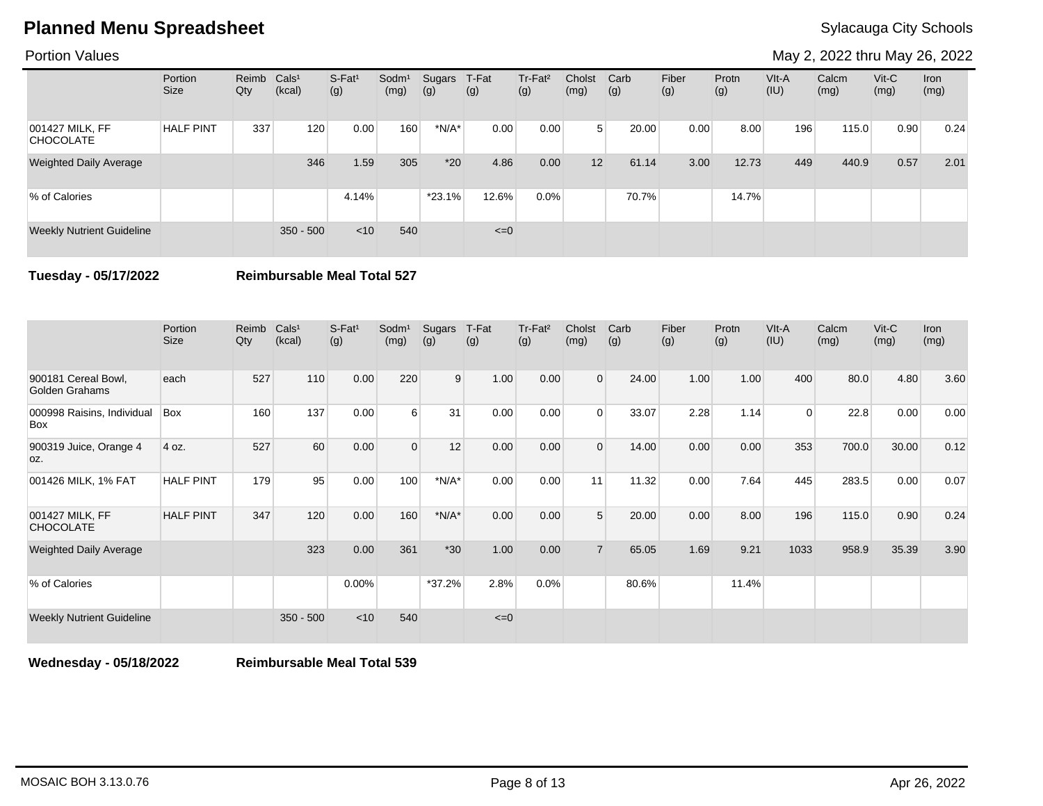Portion Values

May 2, 2022 thru May 26, 2022

|                                     | Portion<br>Size  | Reimb Cals <sup>1</sup><br>Qty | (kcal)      | S-Fat <sup>1</sup><br>(g) | Sodm <sup>1</sup><br>(mg) | Sugars<br>(g) | T-Fat<br>(g) | Tr-Fat <sup>2</sup><br>(g) | Cholst<br>(mg) | Carb<br>(g) | Fiber<br>(g) | Protn<br>(g) | VIt-A<br>(IU) | Calcm<br>(mg) | $V$ it-C<br>(mg) | Iron<br>(mg) |
|-------------------------------------|------------------|--------------------------------|-------------|---------------------------|---------------------------|---------------|--------------|----------------------------|----------------|-------------|--------------|--------------|---------------|---------------|------------------|--------------|
| 001427 MILK, FF<br><b>CHOCOLATE</b> | <b>HALF PINT</b> | 337                            | 120         | 0.00                      | 160                       | $*N/A*$       | 0.00         | 0.00                       | 5 <sup>1</sup> | 20.00       | 0.00         | 8.00         | 196           | 115.0         | 0.90             | 0.24         |
| <b>Weighted Daily Average</b>       |                  |                                | 346         | 1.59                      | 305                       | $*20$         | 4.86         | 0.00                       | 12             | 61.14       | 3.00         | 12.73        | 449           | 440.9         | 0.57             | 2.01         |
| % of Calories                       |                  |                                |             | 4.14%                     |                           | $*23.1%$      | 12.6%        | $0.0\%$                    |                | 70.7%       |              | 14.7%        |               |               |                  |              |
| <b>Weekly Nutrient Guideline</b>    |                  |                                | $350 - 500$ | < 10                      | 540                       |               | $\leq=0$     |                            |                |             |              |              |               |               |                  |              |

**Tuesday - 05/17/2022 Reimbursable Meal Total 527**

|                                       | Portion<br><b>Size</b> | Reimb<br>Qty | Cals <sup>1</sup><br>(kcal) | $S-Fat1$<br>(g) | Sodm <sup>1</sup><br>(mg) | Sugars<br>(g) | T-Fat<br>(g) | Tr-Fat <sup>2</sup><br>(g) | Cholst<br>(mg) | Carb<br>(g) | Fiber<br>(g) | Protn<br>(g) | VIt-A<br>(IU) | Calcm<br>(mg) | Vit-C<br>(mg) | <b>Iron</b><br>(mg) |
|---------------------------------------|------------------------|--------------|-----------------------------|-----------------|---------------------------|---------------|--------------|----------------------------|----------------|-------------|--------------|--------------|---------------|---------------|---------------|---------------------|
| 900181 Cereal Bowl,<br>Golden Grahams | each                   | 527          | 110                         | 0.00            | 220                       | 9             | 1.00         | 0.00                       | $\overline{0}$ | 24.00       | 1.00         | 1.00         | 400           | 80.0          | 4.80          | 3.60                |
| 000998 Raisins, Individual<br>Box     | Box                    | 160          | 137                         | 0.00            | $6 \overline{6}$          | 31            | 0.00         | 0.00                       | $\Omega$       | 33.07       | 2.28         | 1.14         | $\Omega$      | 22.8          | 0.00          | 0.00                |
| 900319 Juice, Orange 4<br>OZ.         | 4 oz.                  | 527          | 60                          | 0.00            | $\Omega$                  | 12            | 0.00         | 0.00                       | $\Omega$       | 14.00       | 0.00         | 0.00         | 353           | 700.0         | 30.00         | 0.12                |
| 001426 MILK, 1% FAT                   | <b>HALF PINT</b>       | 179          | 95                          | 0.00            | 100                       | $*N/A*$       | 0.00         | 0.00                       | 11             | 11.32       | 0.00         | 7.64         | 445           | 283.5         | 0.00          | 0.07                |
| 001427 MILK, FF<br><b>CHOCOLATE</b>   | <b>HALF PINT</b>       | 347          | 120                         | 0.00            | 160                       | $*N/A*$       | 0.00         | 0.00                       | 5              | 20.00       | 0.00         | 8.00         | 196           | 115.0         | 0.90          | 0.24                |
| <b>Weighted Daily Average</b>         |                        |              | 323                         | 0.00            | 361                       | $*30$         | 1.00         | 0.00                       |                | 65.05       | 1.69         | 9.21         | 1033          | 958.9         | 35.39         | 3.90                |
| % of Calories                         |                        |              |                             | $0.00\%$        |                           | $*37.2%$      | 2.8%         | 0.0%                       |                | 80.6%       |              | 11.4%        |               |               |               |                     |
| <b>Weekly Nutrient Guideline</b>      |                        |              | $350 - 500$                 | $<$ 10          | 540                       |               | $\leq=0$     |                            |                |             |              |              |               |               |               |                     |

**Wednesday - 05/18/2022 Reimbursable Meal Total 539**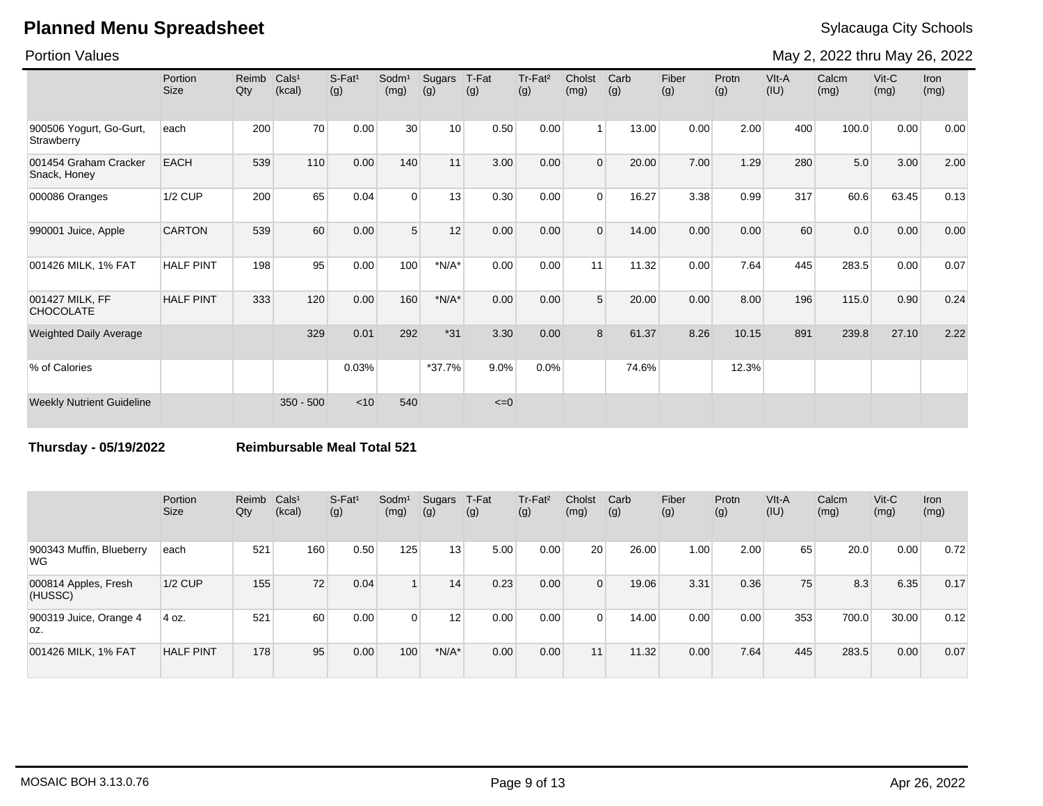Portion Values

May 2, 2022 thru May 26, 2022

|                                       | Portion<br><b>Size</b> | Reimb<br>Qty | Cals <sup>1</sup><br>(kcal) | $S-Fat1$<br>(g) | Sodm <sup>1</sup><br>(mg) | Sugars<br>(g) | T-Fat<br>(g) | Tr-Fat <sup>2</sup><br>(g) | Cholst<br>(mg) | Carb<br>(g) | Fiber<br>(g) | Protn<br>(g) | VIt-A<br>(IU) | Calcm<br>(mg) | Vit-C<br>(mg) | Iron<br>(mg) |
|---------------------------------------|------------------------|--------------|-----------------------------|-----------------|---------------------------|---------------|--------------|----------------------------|----------------|-------------|--------------|--------------|---------------|---------------|---------------|--------------|
| 900506 Yogurt, Go-Gurt,<br>Strawberry | each                   | 200          | 70                          | 0.00            | 30                        | 10            | 0.50         | 0.00                       |                | 13.00       | 0.00         | 2.00         | 400           | 100.0         | 0.00          | 0.00         |
| 001454 Graham Cracker<br>Snack, Honey | <b>EACH</b>            | 539          | 110                         | 0.00            | 140                       | 11            | 3.00         | 0.00                       | $\Omega$       | 20.00       | 7.00         | 1.29         | 280           | 5.0           | 3.00          | 2.00         |
| 000086 Oranges                        | <b>1/2 CUP</b>         | 200          | 65                          | 0.04            | $\Omega$                  | 13            | 0.30         | 0.00                       | $\Omega$       | 16.27       | 3.38         | 0.99         | 317           | 60.6          | 63.45         | 0.13         |
| 990001 Juice, Apple                   | <b>CARTON</b>          | 539          | 60                          | 0.00            | 5 <sup>5</sup>            | 12            | 0.00         | 0.00                       | $\Omega$       | 14.00       | 0.00         | 0.00         | 60            | 0.0           | 0.00          | 0.00         |
| 001426 MILK, 1% FAT                   | <b>HALF PINT</b>       | 198          | 95                          | 0.00            | 100                       | $*N/A*$       | 0.00         | 0.00                       | 11             | 11.32       | 0.00         | 7.64         | 445           | 283.5         | 0.00          | 0.07         |
| 001427 MILK, FF<br><b>CHOCOLATE</b>   | <b>HALF PINT</b>       | 333          | 120                         | 0.00            | 160                       | $*N/A*$       | 0.00         | 0.00                       | 5              | 20.00       | 0.00         | 8.00         | 196           | 115.0         | 0.90          | 0.24         |
| <b>Weighted Daily Average</b>         |                        |              | 329                         | 0.01            | 292                       | $*31$         | 3.30         | 0.00                       | 8              | 61.37       | 8.26         | 10.15        | 891           | 239.8         | 27.10         | 2.22         |
| % of Calories                         |                        |              |                             | 0.03%           |                           | $*37.7%$      | 9.0%         | 0.0%                       |                | 74.6%       |              | 12.3%        |               |               |               |              |
| <b>Weekly Nutrient Guideline</b>      |                        |              | $350 - 500$                 | < 10            | 540                       |               | $\leq=0$     |                            |                |             |              |              |               |               |               |              |

**Thursday - 05/19/2022 Reimbursable Meal Total 521**

|                                 | Portion<br><b>Size</b> | Reimb<br>Qty | Cals <sup>1</sup><br>(kcal) | $S-Fat1$<br>(g) | Sodm <sup>1</sup><br>(mg) | Sugars<br>(g) | T-Fat<br>(g) | Tr-Fat <sup>2</sup><br>(g) | Cholst<br>(mg)  | Carb<br>(g) | Fiber<br>(g) | Protn<br>(g) | VIt-A<br>(IU) | Calcm<br>(mg) | $V$ it-C<br>(mg) | <b>Iron</b><br>(mg) |
|---------------------------------|------------------------|--------------|-----------------------------|-----------------|---------------------------|---------------|--------------|----------------------------|-----------------|-------------|--------------|--------------|---------------|---------------|------------------|---------------------|
| 900343 Muffin, Blueberry<br>WG  | each                   | 521          | 160                         | 0.50            | 125                       | 13            | 5.00         | 0.00                       | 20              | 26.00       | 1.00         | 2.00         | 65            | 20.0          | 0.00             | 0.72                |
| 000814 Apples, Fresh<br>(HUSSC) | $1/2$ CUP              | 155          | 72                          | 0.04            |                           | 14            | 0.23         | 0.00                       | $\Omega$        | 19.06       | 3.31         | 0.36         | 75            | 8.3           | 6.35             | 0.17                |
| 900319 Juice, Orange 4<br>OZ.   | 4 oz.                  | 521          | 60                          | 0.00            | $\overline{0}$            | 12            | 0.00         | 0.00                       | $\Omega$        | 14.00       | 0.00         | 0.00         | 353           | 700.0         | 30.00            | 0.12                |
| 001426 MILK, 1% FAT             | <b>HALF PINT</b>       | 178          | 95                          | 0.00            | 100                       | $*N/A*$       | 0.00         | 0.00                       | 11 <sub>h</sub> | 11.32       | 0.00         | 7.64         | 445           | 283.5         | 0.00             | 0.07                |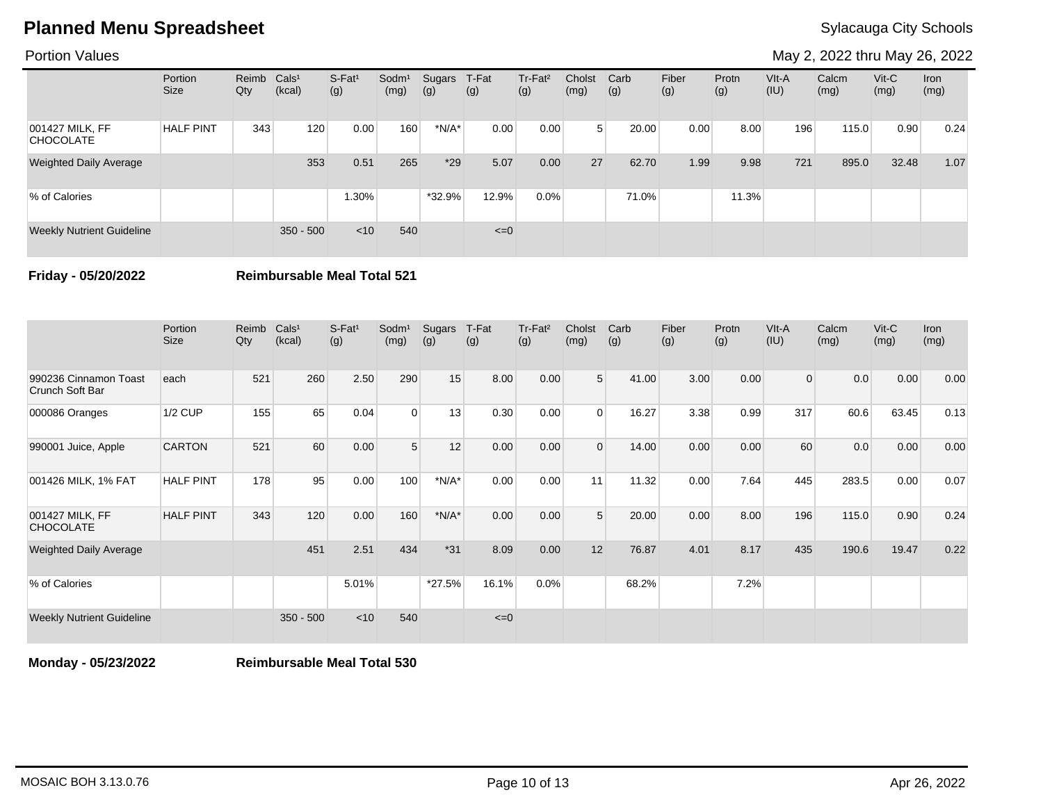Portion Values

May 2, 2022 thru May 26, 2022

|                                     | Portion<br><b>Size</b> | Reimb Cals <sup>1</sup><br>Qty | (kcal)      | $S-Fat1$<br>(g) | Sodm <sup>1</sup><br>(mg) | Sugars<br>(g) | T-Fat<br>(g) | Tr-Fat <sup>2</sup><br>(g) | Cholst<br>(mg) | Carb<br>(g) | Fiber<br>(g) | Protn<br>(g) | VIt-A<br>(IU) | Calcm<br>(mg) | $V$ it-C<br>(mg) | <b>Iron</b><br>(mg) |
|-------------------------------------|------------------------|--------------------------------|-------------|-----------------|---------------------------|---------------|--------------|----------------------------|----------------|-------------|--------------|--------------|---------------|---------------|------------------|---------------------|
| 001427 MILK, FF<br><b>CHOCOLATE</b> | <b>HALF PINT</b>       | 343                            | 120         | 0.00            | 160                       | $*N/A*$       | 0.00         | 0.00                       | 5              | 20.00       | 0.00         | 8.00         | 196           | 115.0         | 0.90             | 0.24                |
| <b>Weighted Daily Average</b>       |                        |                                | 353         | 0.51            | 265                       | $*29$         | 5.07         | 0.00                       | 27             | 62.70       | 1.99         | 9.98         | 721           | 895.0         | 32.48            | 1.07                |
| % of Calories                       |                        |                                |             | $1.30\%$        |                           | $*32.9%$      | 12.9%        | $0.0\%$                    |                | 71.0%       |              | 11.3%        |               |               |                  |                     |
| <b>Weekly Nutrient Guideline</b>    |                        |                                | $350 - 500$ | $<$ 10          | 540                       |               | $\leq=0$     |                            |                |             |              |              |               |               |                  |                     |

**Friday - 05/20/2022 Reimbursable Meal Total 521**

|                                          | Portion<br><b>Size</b> | Reimb<br>Qty | Cals <sup>1</sup><br>(kcal) | $S-Fat1$<br>(g) | Sodm <sup>1</sup><br>(mg) | Sugars<br>(g) | T-Fat<br>(g) | Tr-Fat <sup>2</sup><br>(g) | Cholst<br>(mg) | Carb<br>(g) | Fiber<br>(g) | Protn<br>(g) | VIt-A<br>(IU)  | Calcm<br>(mg) | $V$ it-C<br>(mg) | <b>Iron</b><br>(mg) |
|------------------------------------------|------------------------|--------------|-----------------------------|-----------------|---------------------------|---------------|--------------|----------------------------|----------------|-------------|--------------|--------------|----------------|---------------|------------------|---------------------|
| 990236 Cinnamon Toast<br>Crunch Soft Bar | each                   | 521          | 260                         | 2.50            | 290                       | 15            | 8.00         | 0.00                       | 5 <sup>1</sup> | 41.00       | 3.00         | 0.00         | $\overline{0}$ | 0.0           | 0.00             | 0.00                |
| 000086 Oranges                           | 1/2 CUP                | 155          | 65                          | 0.04            | $\Omega$                  | 13            | 0.30         | 0.00                       | $\Omega$       | 16.27       | 3.38         | 0.99         | 317            | 60.6          | 63.45            | 0.13                |
| 990001 Juice, Apple                      | <b>CARTON</b>          | 521          | 60                          | 0.00            | 5                         | 12            | 0.00         | 0.00                       | $\overline{0}$ | 14.00       | 0.00         | 0.00         | 60             | 0.0           | 0.00             | 0.00                |
| 001426 MILK, 1% FAT                      | <b>HALF PINT</b>       | 178          | 95                          | 0.00            | 100                       | $*N/A*$       | 0.00         | 0.00                       | 11             | 11.32       | 0.00         | 7.64         | 445            | 283.5         | 0.00             | 0.07                |
| 001427 MILK, FF<br><b>CHOCOLATE</b>      | <b>HALF PINT</b>       | 343          | 120                         | 0.00            | 160                       | $*N/A*$       | 0.00         | 0.00                       | 5              | 20.00       | 0.00         | 8.00         | 196            | 115.0         | 0.90             | 0.24                |
| <b>Weighted Daily Average</b>            |                        |              | 451                         | 2.51            | 434                       | $*31$         | 8.09         | 0.00                       | 12             | 76.87       | 4.01         | 8.17         | 435            | 190.6         | 19.47            | 0.22                |
| % of Calories                            |                        |              |                             | 5.01%           |                           | $*27.5%$      | 16.1%        | 0.0%                       |                | 68.2%       |              | 7.2%         |                |               |                  |                     |
| <b>Weekly Nutrient Guideline</b>         |                        |              | $350 - 500$                 | $<$ 10          | 540                       |               | $\leq=0$     |                            |                |             |              |              |                |               |                  |                     |

**Monday - 05/23/2022 Reimbursable Meal Total 530**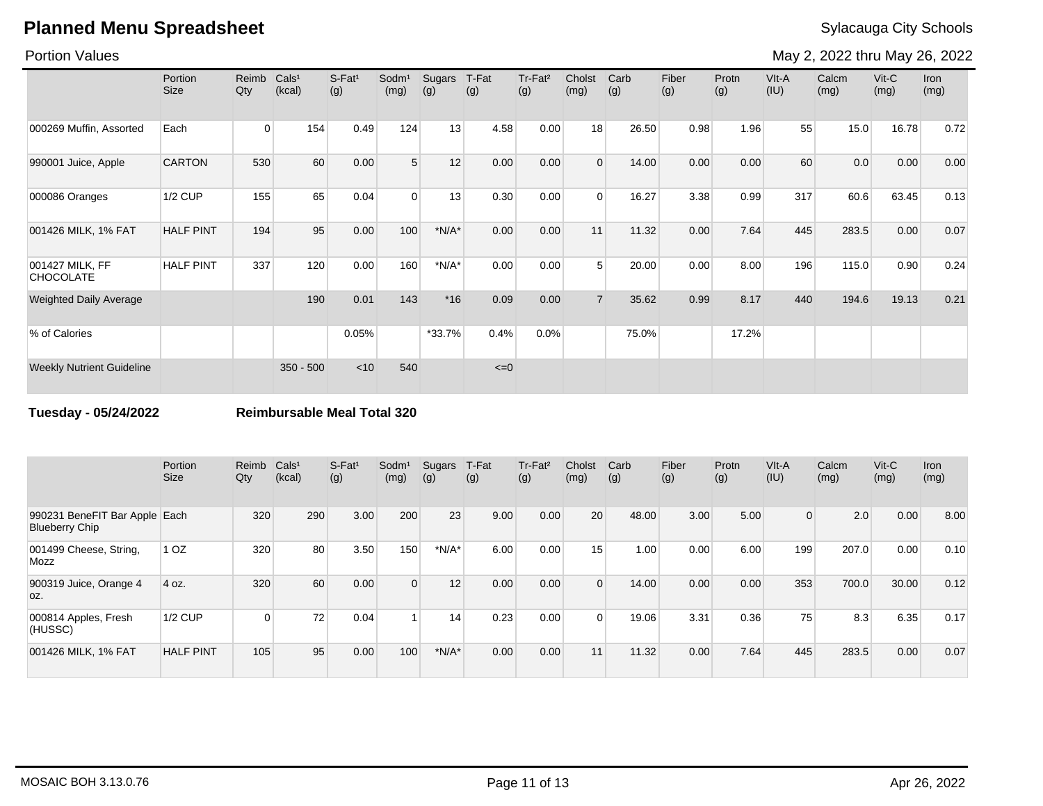Portion Values

May 2, 2022 thru May 26, 2022

|                                     | Portion<br><b>Size</b> | Reimb<br>Qty   | Cals <sup>1</sup><br>(kcal) | $S-Fat1$<br>(g) | Sodm <sup>1</sup><br>(mg) | Sugars<br>(g) | T-Fat<br>(g) | Tr-Fat <sup>2</sup><br>(g) | Cholst<br>(mg) | Carb<br>(g) | Fiber<br>(g) | Protn<br>(g) | VIt-A<br>(IU) | Calcm<br>(mg) | $V$ it-C<br>(mg) | <b>Iron</b><br>(mg) |
|-------------------------------------|------------------------|----------------|-----------------------------|-----------------|---------------------------|---------------|--------------|----------------------------|----------------|-------------|--------------|--------------|---------------|---------------|------------------|---------------------|
| 000269 Muffin, Assorted             | Each                   | $\overline{0}$ | 154                         | 0.49            | 124                       | 13            | 4.58         | 0.00                       | 18             | 26.50       | 0.98         | 1.96         | 55            | 15.0          | 16.78            | 0.72                |
| 990001 Juice, Apple                 | <b>CARTON</b>          | 530            | 60                          | 0.00            | 5                         | 12            | 0.00         | 0.00                       | $\mathbf{0}$   | 14.00       | 0.00         | 0.00         | 60            | 0.0           | 0.00             | 0.00                |
| 000086 Oranges                      | <b>1/2 CUP</b>         | 155            | 65                          | 0.04            | $\Omega$                  | 13            | 0.30         | 0.00                       | $\Omega$       | 16.27       | 3.38         | 0.99         | 317           | 60.6          | 63.45            | 0.13                |
| 001426 MILK, 1% FAT                 | <b>HALF PINT</b>       | 194            | 95                          | 0.00            | 100                       | $*N/A*$       | 0.00         | 0.00                       | 11             | 11.32       | 0.00         | 7.64         | 445           | 283.5         | 0.00             | 0.07                |
| 001427 MILK, FF<br><b>CHOCOLATE</b> | <b>HALF PINT</b>       | 337            | 120                         | 0.00            | 160                       | $*N/A*$       | 0.00         | 0.00                       | 5              | 20.00       | 0.00         | 8.00         | 196           | 115.0         | 0.90             | 0.24                |
| <b>Weighted Daily Average</b>       |                        |                | 190                         | 0.01            | 143                       | $*16$         | 0.09         | 0.00                       |                | 35.62       | 0.99         | 8.17         | 440           | 194.6         | 19.13            | 0.21                |
| % of Calories                       |                        |                |                             | 0.05%           |                           | $*33.7%$      | 0.4%         | 0.0%                       |                | 75.0%       |              | 17.2%        |               |               |                  |                     |
| <b>Weekly Nutrient Guideline</b>    |                        |                | $350 - 500$                 | < 10            | 540                       |               | $\leq=0$     |                            |                |             |              |              |               |               |                  |                     |

**Tuesday - 05/24/2022 Reimbursable Meal Total 320**

|                                                        | Portion<br><b>Size</b> | Reimb<br>Qty | Cals <sup>1</sup><br>(kcal) | $S$ -Fat <sup>1</sup><br>(g) | Sodm <sup>1</sup><br>(mg) | Sugars<br>(g) | T-Fat<br>(g) | Tr-Fat <sup>2</sup><br>(g) | Cholst<br>(mg) | Carb<br>(g) | Fiber<br>(g) | Protn<br>(g) | VIt-A<br>(IU) | Calcm<br>(mg) | $V$ it-C<br>(mg) | <b>Iron</b><br>(mg) |
|--------------------------------------------------------|------------------------|--------------|-----------------------------|------------------------------|---------------------------|---------------|--------------|----------------------------|----------------|-------------|--------------|--------------|---------------|---------------|------------------|---------------------|
| 990231 BeneFIT Bar Apple Each<br><b>Blueberry Chip</b> |                        | 320          | 290                         | 3.00                         | 200                       | 23            | 9.00         | 0.00                       | 20             | 48.00       | 3.00         | 5.00         | $\Omega$      | 2.0           | 0.00             | 8.00                |
| 001499 Cheese, String,<br>Mozz                         | 1 <sub>OZ</sub>        | 320          | 80                          | 3.50                         | 150                       | $*N/A*$       | 6.00         | 0.00                       | 15             | 1.00        | 0.00         | 6.00         | 199           | 207.0         | 0.00             | 0.10                |
| 900319 Juice, Orange 4<br>OZ.                          | 4 oz.                  | 320          | 60                          | 0.00                         | $\overline{0}$            | 12            | 0.00         | 0.00                       | $\Omega$       | 14.00       | 0.00         | 0.00         | 353           | 700.0         | 30.00            | 0.12                |
| 000814 Apples, Fresh<br>(HUSSC)                        | <b>1/2 CUP</b>         | 0            | 72                          | 0.04                         |                           | 14            | 0.23         | 0.00                       | $\Omega$       | 19.06       | 3.31         | 0.36         | 75            | 8.3           | 6.35             | 0.17                |
| 001426 MILK, 1% FAT                                    | <b>HALF PINT</b>       | 105          | 95                          | 0.00                         | 100                       | $*N/A*$       | 0.00         | 0.00                       | 11             | 11.32       | 0.00         | 7.64         | 445           | 283.5         | 0.00             | 0.07                |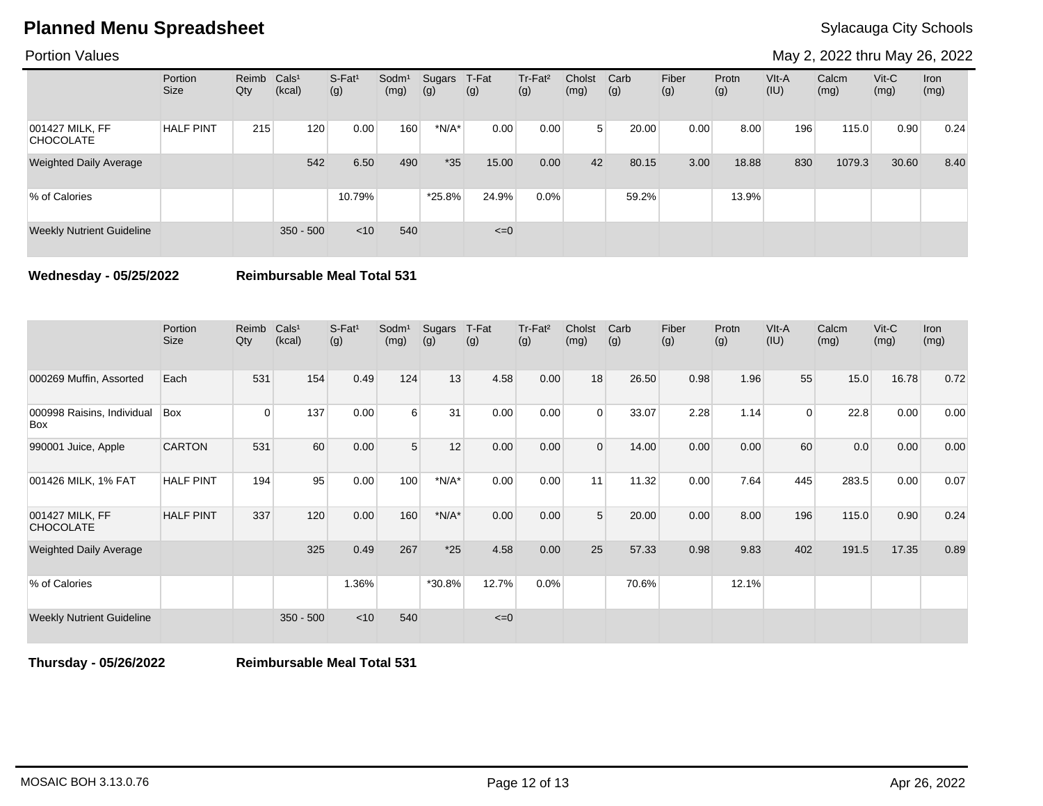Portion Values

May 2, 2022 thru May 26, 2022

|                                     | Portion<br>Size  | Reimb Cals <sup>1</sup><br>Qty | (kcal)      | S-Fat <sup>1</sup><br>(g) | Sodm <sup>1</sup><br>(mg) | Sugars<br>(g) | T-Fat<br>(g) | Tr-Fat <sup>2</sup><br>(g) | Cholst<br>(mg) | Carb<br>(g) | Fiber<br>(g) | Protn<br>(g) | VIt-A<br>(IU) | Calcm<br>(mg) | $V$ it-C<br>(mg) | Iron<br>(mg) |
|-------------------------------------|------------------|--------------------------------|-------------|---------------------------|---------------------------|---------------|--------------|----------------------------|----------------|-------------|--------------|--------------|---------------|---------------|------------------|--------------|
| 001427 MILK, FF<br><b>CHOCOLATE</b> | <b>HALF PINT</b> | 215                            | 120         | 0.00                      | 160                       | $*N/A*$       | 0.00         | 0.00                       | 5 <sup>1</sup> | 20.00       | 0.00         | 8.00         | 196           | 115.0         | 0.90             | 0.24         |
| <b>Weighted Daily Average</b>       |                  |                                | 542         | 6.50                      | 490                       | $*35$         | 15.00        | 0.00                       | 42             | 80.15       | 3.00         | 18.88        | 830           | 1079.3        | 30.60            | 8.40         |
| % of Calories                       |                  |                                |             | 10.79%                    |                           | $*25.8\%$     | 24.9%        | $0.0\%$                    |                | 59.2%       |              | 13.9%        |               |               |                  |              |
| <b>Weekly Nutrient Guideline</b>    |                  |                                | $350 - 500$ | < 10                      | 540                       |               | $\leq=0$     |                            |                |             |              |              |               |               |                  |              |

**Wednesday - 05/25/2022 Reimbursable Meal Total 531**

|                                     | Portion<br><b>Size</b> | Reimb<br>Qty | Cals <sup>1</sup><br>(kcal) | $S-Fat1$<br>(g) | Sodm <sup>1</sup><br>(mg) | Sugars<br>(g) | T-Fat<br>(g) | Tr-Fat <sup>2</sup><br>(g) | Cholst<br>(mg) | Carb<br>(g) | Fiber<br>(g) | Protn<br>(g) | VIt-A<br>(IU) | Calcm<br>(mg) | $V$ it-C<br>(mg) | <b>Iron</b><br>(mg) |
|-------------------------------------|------------------------|--------------|-----------------------------|-----------------|---------------------------|---------------|--------------|----------------------------|----------------|-------------|--------------|--------------|---------------|---------------|------------------|---------------------|
| 000269 Muffin, Assorted             | Each                   | 531          | 154                         | 0.49            | 124                       | 13            | 4.58         | 0.00                       | 18             | 26.50       | 0.98         | 1.96         | 55            | 15.0          | 16.78            | 0.72                |
| 000998 Raisins, Individual<br>Box   | Box                    | $\Omega$     | 137                         | 0.00            | 6                         | 31            | 0.00         | 0.00                       | $\Omega$       | 33.07       | 2.28         | 1.14         | $\Omega$      | 22.8          | 0.00             | 0.00                |
| 990001 Juice, Apple                 | <b>CARTON</b>          | 531          | 60                          | 0.00            | 5                         | 12            | 0.00         | 0.00                       | $\Omega$       | 14.00       | 0.00         | 0.00         | 60            | 0.0           | 0.00             | 0.00                |
| 001426 MILK, 1% FAT                 | <b>HALF PINT</b>       | 194          | 95                          | 0.00            | 100                       | $*N/A*$       | 0.00         | 0.00                       | 11             | 11.32       | 0.00         | 7.64         | 445           | 283.5         | 0.00             | 0.07                |
| 001427 MILK, FF<br><b>CHOCOLATE</b> | <b>HALF PINT</b>       | 337          | 120                         | 0.00            | 160                       | $*N/A*$       | 0.00         | 0.00                       | 5              | 20.00       | 0.00         | 8.00         | 196           | 115.0         | 0.90             | 0.24                |
| <b>Weighted Daily Average</b>       |                        |              | 325                         | 0.49            | 267                       | $*25$         | 4.58         | 0.00                       | 25             | 57.33       | 0.98         | 9.83         | 402           | 191.5         | 17.35            | 0.89                |
| % of Calories                       |                        |              |                             | 1.36%           |                           | *30.8%        | 12.7%        | 0.0%                       |                | 70.6%       |              | 12.1%        |               |               |                  |                     |
| <b>Weekly Nutrient Guideline</b>    |                        |              | $350 - 500$                 | $<$ 10          | 540                       |               | $\leq=0$     |                            |                |             |              |              |               |               |                  |                     |

**Thursday - 05/26/2022 Reimbursable Meal Total 531**